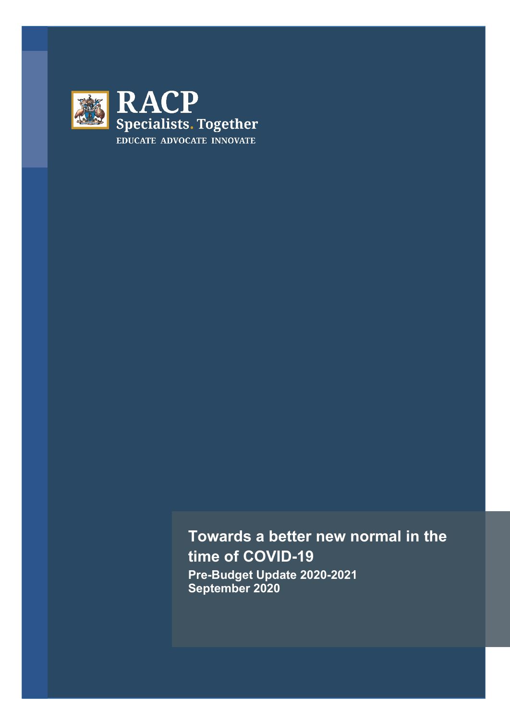

**Towards a better new normal in the time of COVID-19 Pre-Budget Update 2020-2021 September 2020**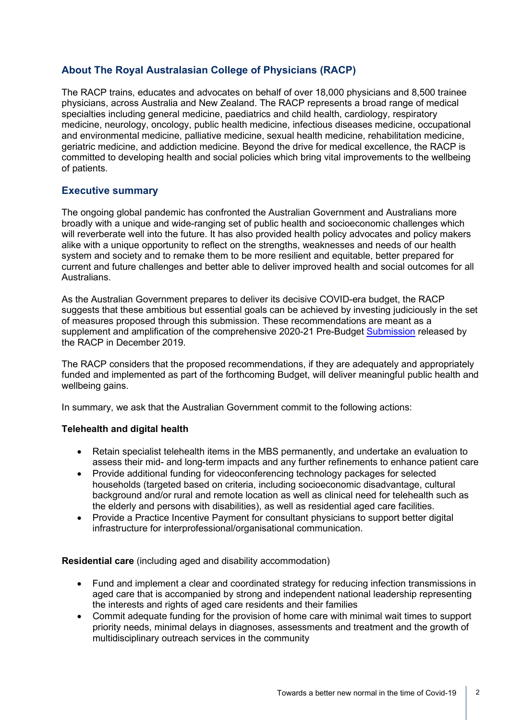# **About The Royal Australasian College of Physicians (RACP)**

The RACP trains, educates and advocates on behalf of over 18,000 physicians and 8,500 trainee physicians, across Australia and New Zealand. The RACP represents a broad range of medical specialties including general medicine, paediatrics and child health, cardiology, respiratory medicine, neurology, oncology, public health medicine, infectious diseases medicine, occupational and environmental medicine, palliative medicine, sexual health medicine, rehabilitation medicine, geriatric medicine, and addiction medicine. Beyond the drive for medical excellence, the RACP is committed to developing health and social policies which bring vital improvements to the wellbeing of patients.

## **Executive summary**

The ongoing global pandemic has confronted the Australian Government and Australians more broadly with a unique and wide-ranging set of public health and socioeconomic challenges which will reverberate well into the future. It has also provided health policy advocates and policy makers alike with a unique opportunity to reflect on the strengths, weaknesses and needs of our health system and society and to remake them to be more resilient and equitable, better prepared for current and future challenges and better able to deliver improved health and social outcomes for all Australians.

As the Australian Government prepares to deliver its decisive COVID-era budget, the RACP suggests that these ambitious but essential goals can be achieved by investing judiciously in the set of measures proposed through this submission. These recommendations are meant as a supplement and amplification of the comprehensive 2020-21 Pre-Budget [Submission](https://www.racp.edu.au/docs/default-source/advocacy-library/b-2020-21-pre-budget-submission-dec-2019_slg-app.pdf?sfvrsn=a735e51a_6) released by the RACP in December 2019.

The RACP considers that the proposed recommendations, if they are adequately and appropriately funded and implemented as part of the forthcoming Budget, will deliver meaningful public health and wellbeing gains.

In summary, we ask that the Australian Government commit to the following actions:

### **Telehealth and digital health**

- Retain specialist telehealth items in the MBS permanently, and undertake an evaluation to assess their mid- and long-term impacts and any further refinements to enhance patient care
- Provide additional funding for videoconferencing technology packages for selected households (targeted based on criteria, including socioeconomic disadvantage, cultural background and/or rural and remote location as well as clinical need for telehealth such as the elderly and persons with disabilities), as well as residential aged care facilities.
- Provide a Practice Incentive Payment for consultant physicians to support better digital infrastructure for interprofessional/organisational communication.

**Residential care** (including aged and disability accommodation)

- Fund and implement a clear and coordinated strategy for reducing infection transmissions in aged care that is accompanied by strong and independent national leadership representing the interests and rights of aged care residents and their families
- Commit adequate funding for the provision of home care with minimal wait times to support priority needs, minimal delays in diagnoses, assessments and treatment and the growth of multidisciplinary outreach services in the community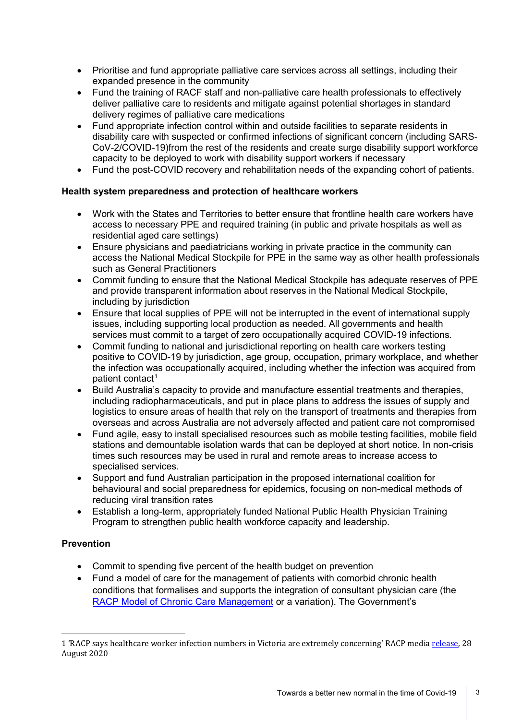- Prioritise and fund appropriate palliative care services across all settings, including their expanded presence in the community
- Fund the training of RACF staff and non-palliative care health professionals to effectively deliver palliative care to residents and mitigate against potential shortages in standard delivery regimes of palliative care medications
- Fund appropriate infection control within and outside facilities to separate residents in disability care with suspected or confirmed infections of significant concern (including SARS-CoV-2/COVID-19)from the rest of the residents and create surge disability support workforce capacity to be deployed to work with disability support workers if necessary
- Fund the post-COVID recovery and rehabilitation needs of the expanding cohort of patients.

## **Health system preparedness and protection of healthcare workers**

- Work with the States and Territories to better ensure that frontline health care workers have access to necessary PPE and required training (in public and private hospitals as well as residential aged care settings)
- Ensure physicians and paediatricians working in private practice in the community can access the National Medical Stockpile for PPE in the same way as other health professionals such as General Practitioners
- Commit funding to ensure that the National Medical Stockpile has adequate reserves of PPE and provide transparent information about reserves in the National Medical Stockpile, including by jurisdiction
- Ensure that local supplies of PPE will not be interrupted in the event of international supply issues, including supporting local production as needed. All governments and health services must commit to a target of zero occupationally acquired COVID-19 infections.
- Commit funding to national and jurisdictional reporting on health care workers testing positive to COVID-19 by jurisdiction, age group, occupation, primary workplace, and whether the infection was occupationally acquired, including whether the infection was acquired from patient contact<sup>[1](#page-2-0)</sup>
- Build Australia's capacity to provide and manufacture essential treatments and therapies, including radiopharmaceuticals, and put in place plans to address the issues of supply and logistics to ensure areas of health that rely on the transport of treatments and therapies from overseas and across Australia are not adversely affected and patient care not compromised
- Fund agile, easy to install specialised resources such as mobile testing facilities, mobile field stations and demountable isolation wards that can be deployed at short notice. In non-crisis times such resources may be used in rural and remote areas to increase access to specialised services.
- Support and fund Australian participation in the proposed international coalition for behavioural and social preparedness for epidemics, focusing on non-medical methods of reducing viral transition rates
- Establish a long-term, appropriately funded National Public Health Physician Training Program to strengthen public health workforce capacity and leadership.

## **Prevention**

- Commit to spending five percent of the health budget on prevention
- Fund a model of care for the management of patients with comorbid chronic health conditions that formalises and supports the integration of consultant physician care (the [RACP Model of Chronic Care Management](https://www.racp.edu.au/docs/default-source/advocacy-library/c-final-mccm-document.pdf?sfvrsn=f873e21a_14) or a variation). The Government's

<span id="page-2-0"></span><sup>1</sup> 'RACP says healthcare worker infection numbers in Victoria are extremely concerning' RACP medi[a release,](https://www.racp.edu.au/news-and-events/media-releases/racp-says-healthcare-worker-infection-numbers-in-victoria-are-extremely-concerning) 28 August 2020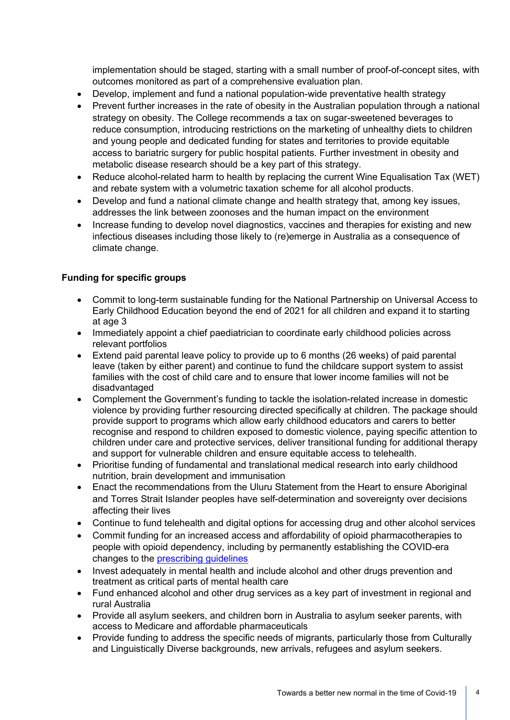implementation should be staged, starting with a small number of proof-of-concept sites, with outcomes monitored as part of a comprehensive evaluation plan.

- Develop, implement and fund a national population-wide preventative health strategy
- Prevent further increases in the rate of obesity in the Australian population through a national strategy on obesity. The College recommends a tax on sugar-sweetened beverages to reduce consumption, introducing restrictions on the marketing of unhealthy diets to children and young people and dedicated funding for states and territories to provide equitable access to bariatric surgery for public hospital patients. Further investment in obesity and metabolic disease research should be a key part of this strategy.
- Reduce alcohol-related harm to health by replacing the current Wine Equalisation Tax (WET) and rebate system with a volumetric taxation scheme for all alcohol products.
- Develop and fund a national climate change and health strategy that, among key issues, addresses the link between zoonoses and the human impact on the environment
- Increase funding to develop novel diagnostics, vaccines and therapies for existing and new infectious diseases including those likely to (re)emerge in Australia as a consequence of climate change.

### **Funding for specific groups**

- Commit to long-term sustainable funding for the National Partnership on Universal Access to Early Childhood Education beyond the end of 2021 for all children and expand it to starting at age 3
- Immediately appoint a chief paediatrician to coordinate early childhood policies across relevant portfolios
- Extend paid parental leave policy to provide up to 6 months (26 weeks) of paid parental leave (taken by either parent) and continue to fund the childcare support system to assist families with the cost of child care and to ensure that lower income families will not be disadvantaged
- Complement the Government's funding to tackle the isolation-related increase in domestic violence by providing further resourcing directed specifically at children. The package should provide support to programs which allow early childhood educators and carers to better recognise and respond to children exposed to domestic violence, paying specific attention to children under care and protective services, deliver transitional funding for additional therapy and support for vulnerable children and ensure equitable access to telehealth.
- Prioritise funding of fundamental and translational medical research into early childhood nutrition, brain development and immunisation
- Enact the recommendations from the Uluru Statement from the Heart to ensure Aboriginal and Torres Strait Islander peoples have self-determination and sovereignty over decisions affecting their lives
- Continue to fund telehealth and digital options for accessing drug and other alcohol services
- Commit funding for an increased access and affordability of opioid pharmacotherapies to people with opioid dependency, including by permanently establishing the COVID-era changes to the [prescribing guidelines](https://www.racp.edu.au/docs/default-source/news-and-events/covid-19/interim-guidance-delivery-of-medication-assisted-treatment-of-opiod-dependence-covid-19.pdf?sfvrsn=e36eeb1a_4)
- Invest adequately in mental health and include alcohol and other drugs prevention and treatment as critical parts of mental health care
- Fund enhanced alcohol and other drug services as a key part of investment in regional and rural Australia
- Provide all asylum seekers, and children born in Australia to asylum seeker parents, with access to Medicare and affordable pharmaceuticals
- Provide funding to address the specific needs of migrants, particularly those from Culturally and Linguistically Diverse backgrounds, new arrivals, refugees and asylum seekers.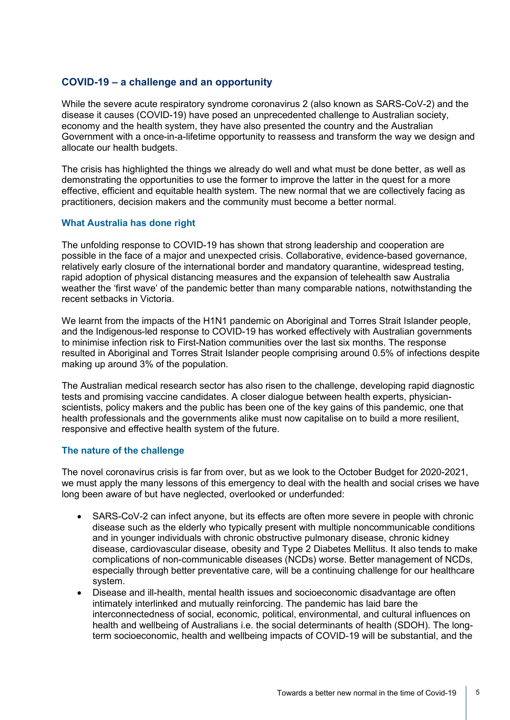## **COVID-19 – a challenge and an opportunity**

While the severe acute respiratory syndrome coronavirus 2 (also known as SARS-CoV-2) and the disease it causes (COVID-19) have posed an unprecedented challenge to Australian society, economy and the health system, they have also presented the country and the Australian Government with a once-in-a-lifetime opportunity to reassess and transform the way we design and allocate our health budgets.

The crisis has highlighted the things we already do well and what must be done better, as well as demonstrating the opportunities to use the former to improve the latter in the quest for a more effective, efficient and equitable health system. The new normal that we are collectively facing as practitioners, decision makers and the community must become a better normal.

### **What Australia has done right**

The unfolding response to COVID-19 has shown that strong leadership and cooperation are possible in the face of a major and unexpected crisis. Collaborative, evidence-based governance, relatively early closure of the international border and mandatory quarantine, widespread testing, rapid adoption of physical distancing measures and the expansion of telehealth saw Australia weather the 'first wave' of the pandemic better than many comparable nations, notwithstanding the recent setbacks in Victoria.

We learnt from the impacts of the H1N1 pandemic on Aboriginal and Torres Strait Islander people, and the Indigenous-led response to COVID-19 has worked effectively with Australian governments to minimise infection risk to First-Nation communities over the last six months. The response resulted in Aboriginal and Torres Strait Islander people comprising around 0.5% of infections despite making up around 3% of the population.

The Australian medical research sector has also risen to the challenge, developing rapid diagnostic tests and promising vaccine candidates. A closer dialogue between health experts, physicianscientists, policy makers and the public has been one of the key gains of this pandemic, one that health professionals and the governments alike must now capitalise on to build a more resilient, responsive and effective health system of the future.

### **The nature of the challenge**

The novel coronavirus crisis is far from over, but as we look to the October Budget for 2020-2021, we must apply the many lessons of this emergency to deal with the health and social crises we have long been aware of but have neglected, overlooked or underfunded:

- SARS-CoV-2 can infect anyone, but its effects are often more severe in people with chronic disease such as the elderly who typically present with multiple noncommunicable conditions and in younger individuals with chronic obstructive pulmonary disease, chronic kidney disease, cardiovascular disease, obesity and Type 2 Diabetes Mellitus. It also tends to make complications of non-communicable diseases (NCDs) worse. Better management of NCDs, especially through better preventative care, will be a continuing challenge for our healthcare system.
- Disease and ill-health, mental health issues and socioeconomic disadvantage are often intimately interlinked and mutually reinforcing. The pandemic has laid bare the interconnectedness of social, economic, political, environmental, and cultural influences on health and wellbeing of Australians i.e. the social determinants of health (SDOH). The longterm socioeconomic, health and wellbeing impacts of COVID-19 will be substantial, and the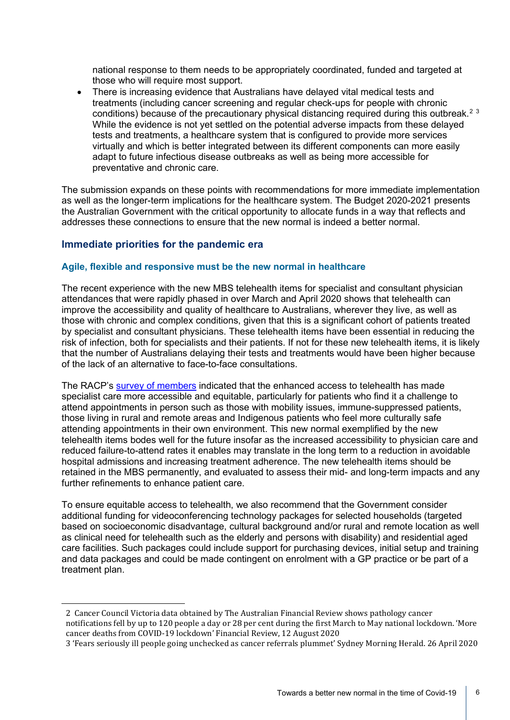national response to them needs to be appropriately coordinated, funded and targeted at those who will require most support.

• There is increasing evidence that Australians have delayed vital medical tests and treatments (including cancer screening and regular check-ups for people with chronic conditions) because of the precautionary physical distancing required during this outbreak.<sup>[2](#page-5-0)[3](#page-5-1)</sup> While the evidence is not yet settled on the potential adverse impacts from these delayed tests and treatments, a healthcare system that is configured to provide more services virtually and which is better integrated between its different components can more easily adapt to future infectious disease outbreaks as well as being more accessible for preventative and chronic care.

The submission expands on these points with recommendations for more immediate implementation as well as the longer-term implications for the healthcare system. The Budget 2020-2021 presents the Australian Government with the critical opportunity to allocate funds in a way that reflects and addresses these connections to ensure that the new normal is indeed a better normal.

## **Immediate priorities for the pandemic era**

### **Agile, flexible and responsive must be the new normal in healthcare**

The recent experience with the new MBS telehealth items for specialist and consultant physician attendances that were rapidly phased in over March and April 2020 shows that telehealth can improve the accessibility and quality of healthcare to Australians, wherever they live, as well as those with chronic and complex conditions, given that this is a significant cohort of patients treated by specialist and consultant physicians. These telehealth items have been essential in reducing the risk of infection, both for specialists and their patients. If not for these new telehealth items, it is likely that the number of Australians delaying their tests and treatments would have been higher because of the lack of an alternative to face-to-face consultations.

The RACP's [survey of members](https://www.racp.edu.au/docs/default-source/default-document-library/policy-and-advocacy/racp-members-survey-new-mbs-telehealth-attendance-items-introduced-for-covid-19.pdf?sfvrsn=31d1ef1a_7) indicated that the enhanced access to telehealth has made specialist care more accessible and equitable, particularly for patients who find it a challenge to attend appointments in person such as those with mobility issues, immune-suppressed patients, those living in rural and remote areas and Indigenous patients who feel more culturally safe attending appointments in their own environment. This new normal exemplified by the new telehealth items bodes well for the future insofar as the increased accessibility to physician care and reduced failure-to-attend rates it enables may translate in the long term to a reduction in avoidable hospital admissions and increasing treatment adherence. The new telehealth items should be retained in the MBS permanently, and evaluated to assess their mid- and long-term impacts and any further refinements to enhance patient care.

To ensure equitable access to telehealth, we also recommend that the Government consider additional funding for videoconferencing technology packages for selected households (targeted based on socioeconomic disadvantage, cultural background and/or rural and remote location as well as clinical need for telehealth such as the elderly and persons with disability) and residential aged care facilities. Such packages could include support for purchasing devices, initial setup and training and data packages and could be made contingent on enrolment with a GP practice or be part of a treatment plan.

<span id="page-5-0"></span><sup>2</sup> Cancer Council Victoria data obtained by The Australian Financial Review shows pathology cancer notifications fell by up to 120 people a day or 28 per cent during the first March to May national lockdown. 'More cancer deaths from COVID-19 lockdown' Financial Review, 12 August 2020

<span id="page-5-1"></span><sup>3</sup> 'Fears seriously ill people going unchecked as cancer referrals plummet' Sydney Morning Herald. 26 April 2020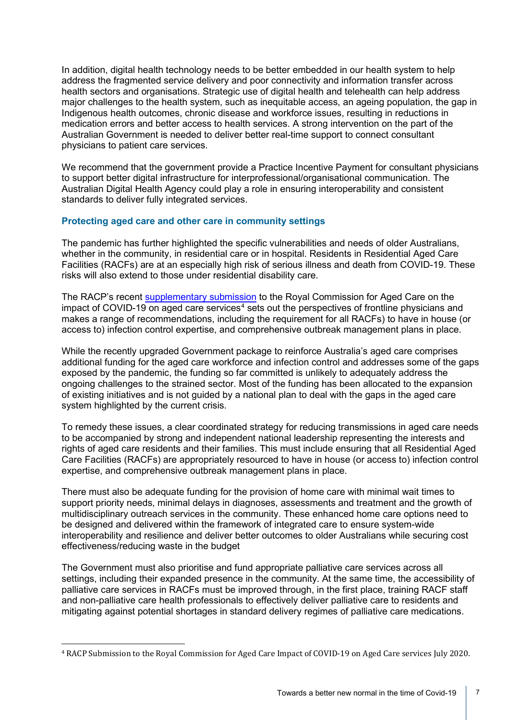In addition, digital health technology needs to be better embedded in our health system to help address the fragmented service delivery and poor connectivity and information transfer across health sectors and organisations. Strategic use of digital health and telehealth can help address major challenges to the health system, such as inequitable access, an ageing population, the gap in Indigenous health outcomes, chronic disease and workforce issues, resulting in reductions in medication errors and better access to health services. A strong intervention on the part of the Australian Government is needed to deliver better real-time support to connect consultant physicians to patient care services.

We recommend that the government provide a Practice Incentive Payment for consultant physicians to support better digital infrastructure for interprofessional/organisational communication. The Australian Digital Health Agency could play a role in ensuring interoperability and consistent standards to deliver fully integrated services.

### **Protecting aged care and other care in community settings**

The pandemic has further highlighted the specific vulnerabilities and needs of older Australians, whether in the community, in residential care or in hospital. Residents in Residential Aged Care Facilities (RACFs) are at an especially high risk of serious illness and death from COVID-19. These risks will also extend to those under residential disability care.

The RACP's recent [supplementary submission](https://www.racp.edu.au/docs/default-source/advocacy-library/racp-submission_aged-covid-30072020---web-upload.pdf?sfvrsn=810ef11a_6) to the Royal Commission for Aged Care on the impact of COVID-19 on aged care services<sup>[4](#page-6-0)</sup> sets out the perspectives of frontline physicians and makes a range of recommendations, including the requirement for all RACFs) to have in house (or access to) infection control expertise, and comprehensive outbreak management plans in place.

While the recently upgraded Government package to reinforce Australia's aged care comprises additional funding for the aged care workforce and infection control and addresses some of the gaps exposed by the pandemic, the funding so far committed is unlikely to adequately address the ongoing challenges to the strained sector. Most of the funding has been allocated to the expansion of existing initiatives and is not guided by a national plan to deal with the gaps in the aged care system highlighted by the current crisis.

To remedy these issues, a clear coordinated strategy for reducing transmissions in aged care needs to be accompanied by strong and independent national leadership representing the interests and rights of aged care residents and their families. This must include ensuring that all Residential Aged Care Facilities (RACFs) are appropriately resourced to have in house (or access to) infection control expertise, and comprehensive outbreak management plans in place.

There must also be adequate funding for the provision of home care with minimal wait times to support priority needs, minimal delays in diagnoses, assessments and treatment and the growth of multidisciplinary outreach services in the community. These enhanced home care options need to be designed and delivered within the framework of integrated care to ensure system-wide interoperability and resilience and deliver better outcomes to older Australians while securing cost effectiveness/reducing waste in the budget

The Government must also prioritise and fund appropriate palliative care services across all settings, including their expanded presence in the community. At the same time, the accessibility of palliative care services in RACFs must be improved through, in the first place, training RACF staff and non-palliative care health professionals to effectively deliver palliative care to residents and mitigating against potential shortages in standard delivery regimes of palliative care medications.

<span id="page-6-0"></span><sup>4</sup> RACP Submission to the Royal Commission for Aged Care Impact of COVID-19 on Aged Care services July 2020.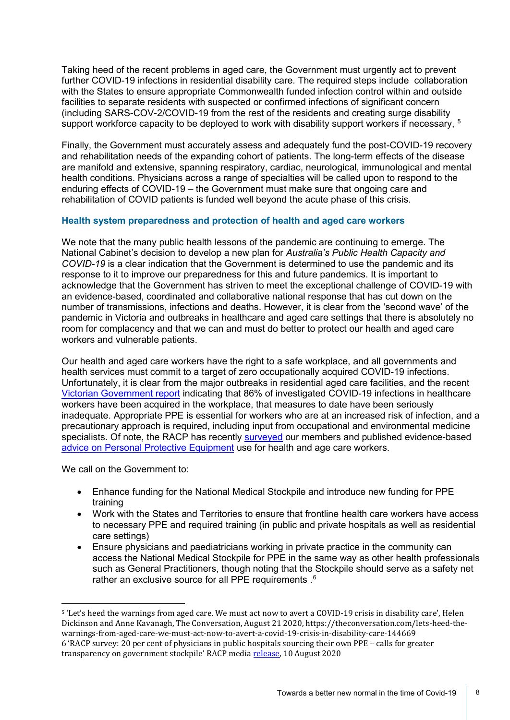Taking heed of the recent problems in aged care, the Government must urgently act to prevent further COVID-19 infections in residential disability care. The required steps include collaboration with the States to ensure appropriate Commonwealth funded infection control within and outside facilities to separate residents with suspected or confirmed infections of significant concern (including SARS-COV-2/COVID-19 from the rest of the residents and creating surge disability support workforce capacity to be deployed to work with disability support workers if necessary, <sup>[5](#page-7-0)</sup>

Finally, the Government must accurately assess and adequately fund the post-COVID-19 recovery and rehabilitation needs of the expanding cohort of patients. The long-term effects of the disease are manifold and extensive, spanning respiratory, cardiac, neurological, immunological and mental health conditions. Physicians across a range of specialties will be called upon to respond to the enduring effects of COVID-19 – the Government must make sure that ongoing care and rehabilitation of COVID patients is funded well beyond the acute phase of this crisis.

### **Health system preparedness and protection of health and aged care workers**

We note that the many public health lessons of the pandemic are continuing to emerge. The National Cabinet's decision to develop a new plan for *[Australia's Public Health Capacity and](https://www.pm.gov.au/media/national-cabinet-statement-0)  [COVID-19](https://www.pm.gov.au/media/national-cabinet-statement-0)* is a clear indication that the Government is determined to use the pandemic and its response to it to improve our preparedness for this and future pandemics. It is important to acknowledge that the Government has striven to meet the exceptional challenge of COVID-19 with an evidence-based, coordinated and collaborative national response that has cut down on the number of transmissions, infections and deaths. However, it is clear from the 'second wave' of the pandemic in Victoria and outbreaks in healthcare and aged care settings that there is absolutely no room for complacency and that we can and must do better to protect our health and aged care workers and vulnerable patients.

Our health and aged care workers have the right to a safe workplace, and all governments and health services must commit to a target of zero occupationally acquired COVID-19 infections. Unfortunately, it is clear from the major outbreaks in residential aged care facilities, and the recent [Victorian Government report](https://www.dhhs.vic.gov.au/sites/default/files/documents/202008/2001628_COVID-19%20Protecting%20our%20healthcare%20workers_v9.pdf) indicating that 86% of investigated COVID-19 infections in healthcare workers have been acquired in the workplace, that measures to date have been seriously inadequate. Appropriate PPE is essential for workers who are at an increased risk of infection, and a precautionary approach is required, including input from occupational and environmental medicine specialists. Of note, the RACP has recently [surveyed](https://www.racp.edu.au/news-and-events/media-releases/racp-survey-20-per-cent-of-physicians-in-public-hospitals-sourcing-their-own-ppe-calls-for-greater-transparency-on-government-stockpile) our members and published evidence-based [advice on Personal Protective Equipment](https://www.racp.edu.au/news-and-events/media-releases/racp-statement-on-use-of-ppe) use for health and age care workers.

We call on the Government to:

- Enhance funding for the National Medical Stockpile and introduce new funding for PPE training
- Work with the States and Territories to ensure that frontline health care workers have access to necessary PPE and required training (in public and private hospitals as well as residential care settings)
- Ensure physicians and paediatricians working in private practice in the community can access the National Medical Stockpile for PPE in the same way as other health professionals such as General Practitioners, though noting that the Stockpile should serve as a safety net rather an exclusive source for all PPE requirements .  $^{6}$  $^{6}$  $^{6}$

<span id="page-7-1"></span><span id="page-7-0"></span><sup>5</sup> 'Let's heed the warnings from aged care. We must act now to avert a COVID-19 crisis in disability care', Helen Dickinson and Anne Kavanagh, The Conversation, August 21 2020, https://theconversation.com/lets-heed-thewarnings-from-aged-care-we-must-act-now-to-avert-a-covid-19-crisis-in-disability-care-144669 6 'RACP survey: 20 per cent of physicians in public hospitals sourcing their own PPE – calls for greater transparency on government stockpile' RACP media [release,](https://www.racp.edu.au/news-and-events/media-releases/racp-survey-20-per-cent-of-physicians-in-public-hospitals-sourcing-their-own-ppe-calls-for-greater-transparency-on-government-stockpile) 10 August 2020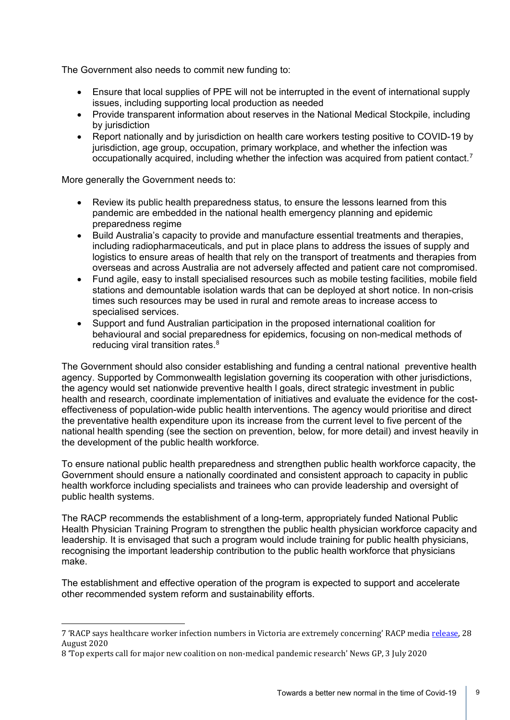The Government also needs to commit new funding to:

- Ensure that local supplies of PPE will not be interrupted in the event of international supply issues, including supporting local production as needed
- Provide transparent information about reserves in the National Medical Stockpile, including by jurisdiction
- Report nationally and by jurisdiction on health care workers testing positive to COVID-19 by jurisdiction, age group, occupation, primary workplace, and whether the infection was occupationally acquired, including whether the infection was acquired from patient contact.<sup>[7](#page-8-0)</sup>

More generally the Government needs to:

- Review its public health preparedness status, to ensure the lessons learned from this pandemic are embedded in the national health emergency planning and epidemic preparedness regime
- Build Australia's capacity to provide and manufacture essential treatments and therapies, including radiopharmaceuticals, and put in place plans to address the issues of supply and logistics to ensure areas of health that rely on the transport of treatments and therapies from overseas and across Australia are not adversely affected and patient care not compromised.
- Fund agile, easy to install specialised resources such as mobile testing facilities, mobile field stations and demountable isolation wards that can be deployed at short notice. In non-crisis times such resources may be used in rural and remote areas to increase access to specialised services.
- Support and fund Australian participation in the proposed international coalition for behavioural and social preparedness for epidemics, focusing on non-medical methods of reducing viral transition rates.<sup>[8](#page-8-1)</sup>

The Government should also consider establishing and funding a central national preventive health agency. Supported by Commonwealth legislation governing its cooperation with other jurisdictions, the agency would set nationwide preventive health l goals, direct strategic investment in public health and research, coordinate implementation of initiatives and evaluate the evidence for the costeffectiveness of population-wide public health interventions. The agency would prioritise and direct the preventative health expenditure upon its increase from the current level to five percent of the national health spending (see the section on prevention, below, for more detail) and invest heavily in the development of the public health workforce.

To ensure national public health preparedness and strengthen public health workforce capacity, the Government should ensure a nationally coordinated and consistent approach to capacity in public health workforce including specialists and trainees who can provide leadership and oversight of public health systems.

The RACP recommends the establishment of a long-term, appropriately funded National Public Health Physician Training Program to strengthen the public health physician workforce capacity and leadership. It is envisaged that such a program would include training for public health physicians, recognising the important leadership contribution to the public health workforce that physicians make.

The establishment and effective operation of the program is expected to support and accelerate other recommended system reform and sustainability efforts.

<span id="page-8-0"></span><sup>7</sup> 'RACP says healthcare worker infection numbers in Victoria are extremely concerning' RACP medi[a release,](https://www.racp.edu.au/news-and-events/media-releases/racp-says-healthcare-worker-infection-numbers-in-victoria-are-extremely-concerning) 28 August 2020

<span id="page-8-1"></span><sup>8</sup> 'Top experts call for major new coalition on non-medical pandemic research' News GP, 3 July 2020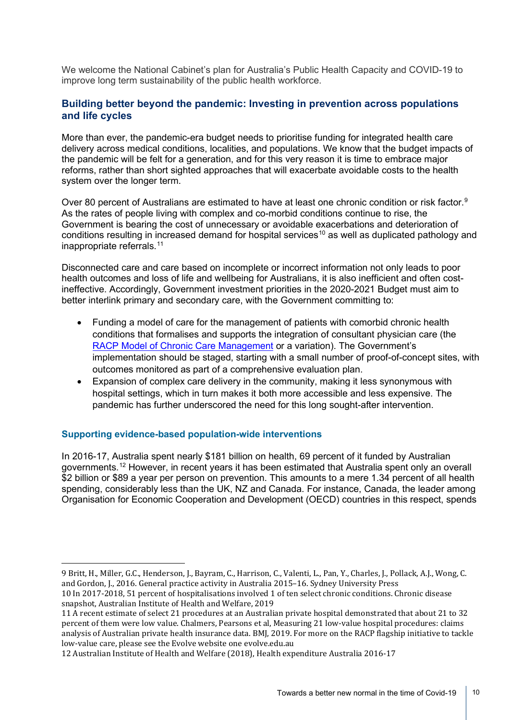We welcome the National Cabinet's plan for Australia's Public Health Capacity and COVID-19 to improve long term sustainability of the public health workforce.

## **Building better beyond the pandemic: Investing in prevention across populations and life cycles**

More than ever, the pandemic-era budget needs to prioritise funding for integrated health care delivery across medical conditions, localities, and populations. We know that the budget impacts of the pandemic will be felt for a generation, and for this very reason it is time to embrace major reforms, rather than short sighted approaches that will exacerbate avoidable costs to the health system over the longer term.

Over 80 percent of Australians are estimated to have at least one chronic condition or risk factor.<sup>[9](#page-9-0)</sup> As the rates of people living with complex and co-morbid conditions continue to rise, the Government is bearing the cost of unnecessary or avoidable exacerbations and deterioration of conditions resulting in increased demand for hospital services<sup>[10](#page-9-1)</sup> as well as duplicated pathology and inappropriate referrals.<sup>[11](#page-9-2)</sup>

Disconnected care and care based on incomplete or incorrect information not only leads to poor health outcomes and loss of life and wellbeing for Australians, it is also inefficient and often costineffective. Accordingly, Government investment priorities in the 2020-2021 Budget must aim to better interlink primary and secondary care, with the Government committing to:

- Funding a model of care for the management of patients with comorbid chronic health conditions that formalises and supports the integration of consultant physician care (the [RACP Model of Chronic Care Management](https://www.racp.edu.au/docs/default-source/advocacy-library/c-final-mccm-document.pdf?sfvrsn=f873e21a_14) or a variation). The Government's implementation should be staged, starting with a small number of proof-of-concept sites, with outcomes monitored as part of a comprehensive evaluation plan.
- Expansion of complex care delivery in the community, making it less synonymous with hospital settings, which in turn makes it both more accessible and less expensive. The pandemic has further underscored the need for this long sought-after intervention.

## **Supporting evidence-based population-wide interventions**

In 2016-17, Australia spent nearly \$181 billion on health, 69 percent of it funded by Australian governments.[12](#page-9-3) However, in recent years it has been estimated that Australia spent only an overall \$2 billion or \$89 a year per person on prevention. This amounts to a mere 1.34 percent of all health spending, considerably less than the UK, NZ and Canada. For instance, Canada, the leader among Organisation for Economic Cooperation and Development (OECD) countries in this respect, spends

<span id="page-9-0"></span><sup>9</sup> Britt, H., Miller, G.C., Henderson, J., Bayram, C., Harrison, C., Valenti, L., Pan, Y., Charles, J., Pollack, A.J., Wong, C. and Gordon, J., 2016. General practice activity in Australia 2015–16. Sydney University Press

<span id="page-9-1"></span><sup>10</sup> In 2017-2018, 51 percent of hospitalisations involved 1 of ten select chronic conditions. Chronic disease snapshot, Australian Institute of Health and Welfare, 2019

<span id="page-9-2"></span><sup>11</sup> A recent estimate of select 21 procedures at an Australian private hospital demonstrated that about 21 to 32 percent of them were low value. Chalmers, Pearsons et al, Measuring 21 low-value hospital procedures: claims analysis of Australian private health insurance data. BMJ, 2019. For more on the RACP flagship initiative to tackle low-value care, please see the Evolve website one evolve.edu.au

<span id="page-9-3"></span><sup>12</sup> Australian Institute of Health and Welfare (2018), Health expenditure Australia 2016-17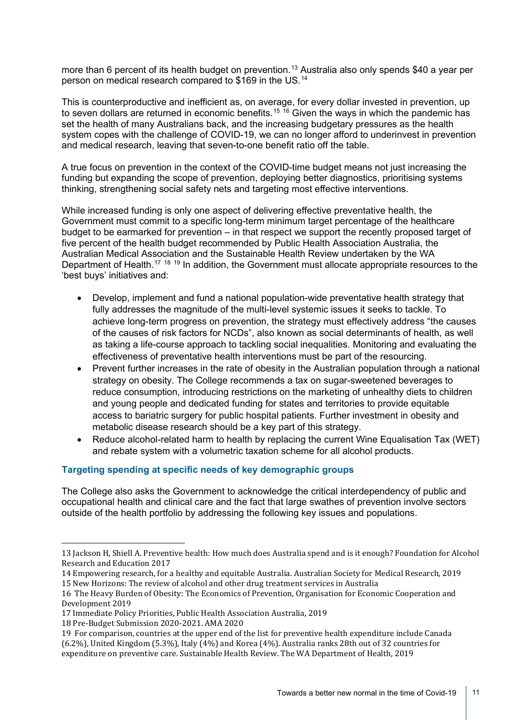more than 6 percent of its health budget on prevention. [13](#page-10-0) Australia also only spends \$40 a year per person on medical research compared to \$169 in the US.[14](#page-10-1)

This is counterproductive and inefficient as, on average, for every dollar invested in prevention, up to seven dollars are returned in economic benefits.<sup>[15](#page-10-2) [16](#page-10-3)</sup> Given the ways in which the pandemic has set the health of many Australians back, and the increasing budgetary pressures as the health system copes with the challenge of COVID-19, we can no longer afford to underinvest in prevention and medical research, leaving that seven-to-one benefit ratio off the table.

A true focus on prevention in the context of the COVID-time budget means not just increasing the funding but expanding the scope of prevention, deploying better diagnostics, prioritising systems thinking, strengthening social safety nets and targeting most effective interventions.

While increased funding is only one aspect of delivering effective preventative health, the Government must commit to a specific long-term minimum target percentage of the healthcare budget to be earmarked for prevention – in that respect we support the recently proposed target of five percent of the health budget recommended by Public Health Association Australia, the Australian Medical Association and the Sustainable Health Review undertaken by the WA Department of Health.<sup>[17](#page-10-4) [18](#page-10-5)</sup> [19](#page-10-6) In addition, the Government must allocate appropriate resources to the 'best buys' initiatives and:

- Develop, implement and fund a national population-wide preventative health strategy that fully addresses the magnitude of the multi-level systemic issues it seeks to tackle. To achieve long-term progress on prevention, the strategy must effectively address "the causes of the causes of risk factors for NCDs", also known as social determinants of health, as well as taking a life-course approach to tackling social inequalities. Monitoring and evaluating the effectiveness of preventative health interventions must be part of the resourcing.
- Prevent further increases in the rate of obesity in the Australian population through a national strategy on obesity. The College recommends a tax on sugar-sweetened beverages to reduce consumption, introducing restrictions on the marketing of unhealthy diets to children and young people and dedicated funding for states and territories to provide equitable access to bariatric surgery for public hospital patients. Further investment in obesity and metabolic disease research should be a key part of this strategy.
- Reduce alcohol-related harm to health by replacing the current Wine Equalisation Tax (WET) and rebate system with a volumetric taxation scheme for all alcohol products.

## **Targeting spending at specific needs of key demographic groups**

The College also asks the Government to acknowledge the critical interdependency of public and occupational health and clinical care and the fact that large swathes of prevention involve sectors outside of the health portfolio by addressing the following key issues and populations.

- <span id="page-10-4"></span>17 Immediate Policy Priorities, Public Health Association Australia, 2019
- <span id="page-10-5"></span>18 Pre-Budget Submission 2020-2021. AMA 2020

<span id="page-10-0"></span><sup>13</sup> Jackson H, Shiell A. Preventive health: How much does Australia spend and is it enough? Foundation for Alcohol Research and Education 2017

<span id="page-10-1"></span><sup>14</sup> Empowering research, for a healthy and equitable Australia. Australian Society for Medical Research, 2019 15 New Horizons: The review of alcohol and other drug treatment services in Australia

<span id="page-10-3"></span><span id="page-10-2"></span><sup>16</sup> The Heavy Burden of Obesity: The Economics of Prevention, Organisation for Economic Cooperation and Development 2019

<span id="page-10-6"></span><sup>19</sup> For comparison, countries at the upper end of the list for preventive health expenditure include Canada (6.2%), United Kingdom (5.3%), Italy (4%) and Korea (4%). Australia ranks 28th out of 32 countries for expenditure on preventive care. Sustainable Health Review. The WA Department of Health, 2019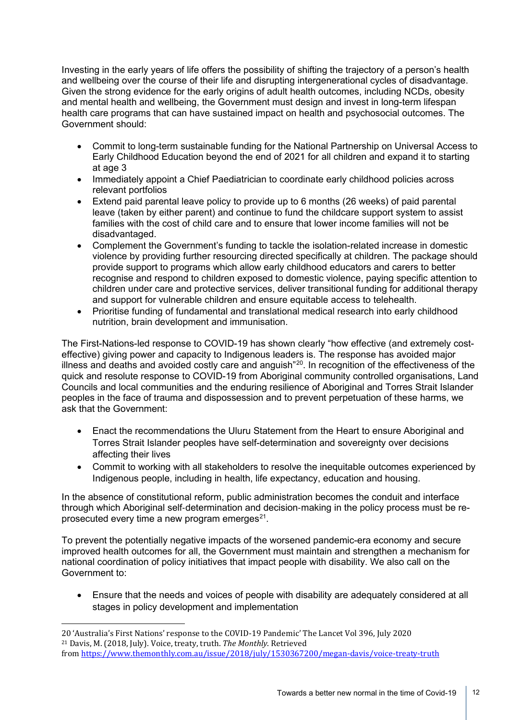Investing in the early years of life offers the possibility of shifting the trajectory of a person's health and wellbeing over the course of their life and disrupting intergenerational cycles of disadvantage. Given the strong evidence for the early origins of adult health outcomes, including NCDs, obesity and mental health and wellbeing, the Government must design and invest in long-term lifespan health care programs that can have sustained impact on health and psychosocial outcomes. The Government should:

- Commit to long-term sustainable funding for the National Partnership on Universal Access to Early Childhood Education beyond the end of 2021 for all children and expand it to starting at age 3
- Immediately appoint a Chief Paediatrician to coordinate early childhood policies across relevant portfolios
- Extend paid parental leave policy to provide up to 6 months (26 weeks) of paid parental leave (taken by either parent) and continue to fund the childcare support system to assist families with the cost of child care and to ensure that lower income families will not be disadvantaged.
- Complement the Government's funding to tackle the isolation-related increase in domestic violence by providing further resourcing directed specifically at children. The package should provide support to programs which allow early childhood educators and carers to better recognise and respond to children exposed to domestic violence, paying specific attention to children under care and protective services, deliver transitional funding for additional therapy and support for vulnerable children and ensure equitable access to telehealth.
- Prioritise funding of fundamental and translational medical research into early childhood nutrition, brain development and immunisation.

The First-Nations-led response to COVID-19 has shown clearly "how effective (and extremely costeffective) giving power and capacity to Indigenous leaders is. The response has avoided major illness and deaths and avoided costly care and anguish"[20.](#page-11-0) In recognition of the effectiveness of the quick and resolute response to COVID-19 from Aboriginal community controlled organisations, Land Councils and local communities and the enduring resilience of Aboriginal and Torres Strait Islander peoples in the face of trauma and dispossession and to prevent perpetuation of these harms, we ask that the Government:

- Enact the recommendations the Uluru Statement from the Heart to ensure Aboriginal and Torres Strait Islander peoples have self-determination and sovereignty over decisions affecting their lives
- Commit to working with all stakeholders to resolve the inequitable outcomes experienced by Indigenous people, including in health, life expectancy, education and housing.

In the absence of constitutional reform, public administration becomes the conduit and interface through which Aboriginal self‐determination and decision‐making in the policy process must be reprosecuted every time a new program emerges $21$ .

To prevent the potentially negative impacts of the worsened pandemic-era economy and secure improved health outcomes for all, the Government must maintain and strengthen a mechanism for national coordination of policy initiatives that impact people with disability. We also call on the Government to:

• Ensure that the needs and voices of people with disability are adequately considered at all stages in policy development and implementation

<span id="page-11-1"></span><span id="page-11-0"></span><sup>20</sup> 'Australia's First Nations' response to the COVID-19 Pandemic' The Lancet Vol 396, July 2020 <sup>21</sup> Davis, M. (2018, July). Voice, treaty, truth. *The Monthly*. Retrieved from <https://www.themonthly.com.au/issue/2018/july/1530367200/megan-davis/voice-treaty-truth>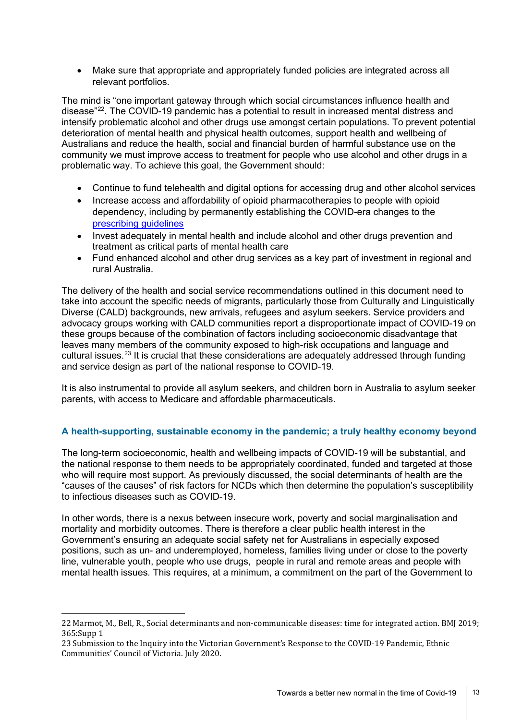• Make sure that appropriate and appropriately funded policies are integrated across all relevant portfolios.

The mind is "one important gateway through which social circumstances influence health and disease"[22.](#page-12-0) The COVID-19 pandemic has a potential to result in increased mental distress and intensify problematic alcohol and other drugs use amongst certain populations. To prevent potential deterioration of mental health and physical health outcomes, support health and wellbeing of Australians and reduce the health, social and financial burden of harmful substance use on the community we must improve access to treatment for people who use alcohol and other drugs in a problematic way. To achieve this goal, the Government should:

- Continue to fund telehealth and digital options for accessing drug and other alcohol services
- Increase access and affordability of opioid pharmacotherapies to people with opioid dependency, including by permanently establishing the COVID-era changes to the [prescribing guidelines](https://www.racp.edu.au/docs/default-source/news-and-events/covid-19/interim-guidance-delivery-of-medication-assisted-treatment-of-opiod-dependence-covid-19.pdf?sfvrsn=e36eeb1a_4)
- Invest adequately in mental health and include alcohol and other drugs prevention and treatment as critical parts of mental health care
- Fund enhanced alcohol and other drug services as a key part of investment in regional and rural Australia.

The delivery of the health and social service recommendations outlined in this document need to take into account the specific needs of migrants, particularly those from Culturally and Linguistically Diverse (CALD) backgrounds, new arrivals, refugees and asylum seekers. Service providers and advocacy groups working with CALD communities report a disproportionate impact of COVID-19 on these groups because of the combination of factors including socioeconomic disadvantage that leaves many members of the community exposed to high-risk occupations and language and cultural issues.<sup>[23](#page-12-1)</sup> It is crucial that these considerations are adequately addressed through funding and service design as part of the national response to COVID-19.

It is also instrumental to provide all asylum seekers, and children born in Australia to asylum seeker parents, with access to Medicare and affordable pharmaceuticals.

## **A health-supporting, sustainable economy in the pandemic; a truly healthy economy beyond**

The long-term socioeconomic, health and wellbeing impacts of COVID-19 will be substantial, and the national response to them needs to be appropriately coordinated, funded and targeted at those who will require most support. As previously discussed, the social determinants of health are the "causes of the causes" of risk factors for NCDs which then determine the population's susceptibility to infectious diseases such as COVID-19.

In other words, there is a nexus between insecure work, poverty and social marginalisation and mortality and morbidity outcomes. There is therefore a clear public health interest in the Government's ensuring an adequate social safety net for Australians in especially exposed positions, such as un- and underemployed, homeless, families living under or close to the poverty line, vulnerable youth, people who use drugs, people in rural and remote areas and people with mental health issues. This requires, at a minimum, a commitment on the part of the Government to

<span id="page-12-0"></span><sup>22</sup> Marmot, M., Bell, R., Social determinants and non-communicable diseases: time for integrated action. BMJ 2019; 365:Supp 1

<span id="page-12-1"></span><sup>23</sup> Submission to the Inquiry into the Victorian Government's Response to the COVID-19 Pandemic, Ethnic Communities' Council of Victoria. July 2020.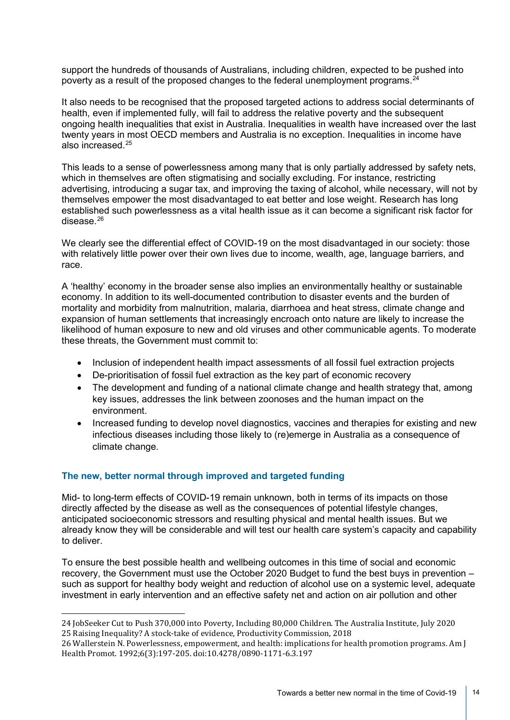support the hundreds of thousands of Australians, including children, expected to be pushed into poverty as a result of the proposed changes to the federal unemployment programs. [24](#page-13-0)

It also needs to be recognised that the proposed targeted actions to address social determinants of health, even if implemented fully, will fail to address the relative poverty and the subsequent ongoing health inequalities that exist in Australia. Inequalities in wealth have increased over the last twenty years in most OECD members and Australia is no exception. Inequalities in income have also increased.[25](#page-13-1)

This leads to a sense of powerlessness among many that is only partially addressed by safety nets, which in themselves are often stigmatising and socially excluding. For instance, restricting advertising, introducing a sugar tax, and improving the taxing of alcohol, while necessary, will not by themselves empower the most disadvantaged to eat better and lose weight. Research has long established such powerlessness as a vital health issue as it can become a significant risk factor for disease. $26$ 

We clearly see the differential effect of COVID-19 on the most disadvantaged in our society: those with relatively little power over their own lives due to income, wealth, age, language barriers, and race.

A 'healthy' economy in the broader sense also implies an environmentally healthy or sustainable economy. In addition to its well-documented contribution to disaster events and the burden of mortality and morbidity from malnutrition, malaria, diarrhoea and heat stress, climate change and expansion of human settlements that increasingly encroach onto nature are likely to increase the likelihood of human exposure to new and old viruses and other communicable agents. To moderate these threats, the Government must commit to:

- Inclusion of independent health impact assessments of all fossil fuel extraction projects
- De-prioritisation of fossil fuel extraction as the key part of economic recovery
- The development and funding of a national climate change and health strategy that, among key issues, addresses the link between zoonoses and the human impact on the environment.
- Increased funding to develop novel diagnostics, vaccines and therapies for existing and new infectious diseases including those likely to (re)emerge in Australia as a consequence of climate change.

## **The new, better normal through improved and targeted funding**

Mid- to long-term effects of COVID-19 remain unknown, both in terms of its impacts on those directly affected by the disease as well as the consequences of potential lifestyle changes, anticipated socioeconomic stressors and resulting physical and mental health issues. But we already know they will be considerable and will test our health care system's capacity and capability to deliver.

To ensure the best possible health and wellbeing outcomes in this time of social and economic recovery, the Government must use the October 2020 Budget to fund the best buys in prevention – such as support for healthy body weight and reduction of alcohol use on a systemic level, adequate investment in early intervention and an effective safety net and action on air pollution and other

<span id="page-13-0"></span><sup>24</sup> JobSeeker Cut to Push 370,000 into Poverty, Including 80,000 Children. The Australia Institute, July 2020 25 Raising Inequality? A stock-take of evidence, Productivity Commission, 2018

<span id="page-13-2"></span><span id="page-13-1"></span><sup>26</sup> Wallerstein N. Powerlessness, empowerment, and health: implications for health promotion programs. Am J Health Promot. 1992;6(3):197-205. doi:10.4278/0890-1171-6.3.197